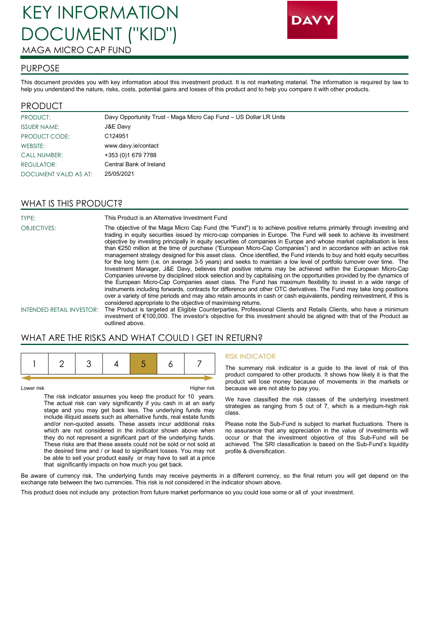# KEY INFORMATION DOCUMENT ("KID") MAGA MICRO CAP FUND



#### PURPOSE

This document provides you with key information about this investment product. It is not marketing material. The information is required by law to help you understand the nature, risks, costs, potential gains and losses of this product and to help you compare it with other products.

#### PRODUCT

| PRODUCT:              | Davy Opportunity Trust - Maga Micro Cap Fund - US Dollar LR Units |
|-----------------------|-------------------------------------------------------------------|
| <b>ISSUER NAME:</b>   | J&E Davy                                                          |
| PRODUCT CODE:         | C <sub>124951</sub>                                               |
| WEBSITE:              | www.davy.ie/contact                                               |
| <b>CALL NUMBER:</b>   | +353 (0) 1679 7788                                                |
| REGULATOR:            | Central Bank of Ireland                                           |
| DOCUMENT VALID AS AT: | 25/05/2021                                                        |

### WHAT IS THIS PRODUCT?

| TYPE:                            | This Product is an Alternative Investment Fund                                                                                                                                                                                                                                                                                                                                                                                                                                                                                                                                                                                                                                                                                                                                                                                                                                                                                                                                                                                                                                                                                                                                                                                                                                                                                                        |
|----------------------------------|-------------------------------------------------------------------------------------------------------------------------------------------------------------------------------------------------------------------------------------------------------------------------------------------------------------------------------------------------------------------------------------------------------------------------------------------------------------------------------------------------------------------------------------------------------------------------------------------------------------------------------------------------------------------------------------------------------------------------------------------------------------------------------------------------------------------------------------------------------------------------------------------------------------------------------------------------------------------------------------------------------------------------------------------------------------------------------------------------------------------------------------------------------------------------------------------------------------------------------------------------------------------------------------------------------------------------------------------------------|
| <b>OBJECTIVES:</b>               | The objective of the Maga Micro Cap Fund (the "Fund") is to achieve positive returns primarily through investing and<br>trading in equity securities issued by micro-cap companies in Europe. The Fund will seek to achieve its investment<br>objective by investing principally in equity securities of companies in Europe and whose market capitalisation is less<br>than €250 million at the time of purchase ("European Micro-Cap Companies") and in accordance with an active risk<br>management strategy designed for this asset class. Once identified, the Fund intends to buy and hold equity securities<br>for the long term (i.e. on average 3-5 years) and seeks to maintain a low level of portfolio turnover over time. The<br>Investment Manager, J&E Davy, believes that positive returns may be achieved within the European Micro-Cap<br>Companies universe by disciplined stock selection and by capitalising on the opportunities provided by the dynamics of<br>the European Micro-Cap Companies asset class. The Fund has maximum flexibility to invest in a wide range of<br>instruments including forwards, contracts for difference and other OTC derivatives. The Fund may take long positions<br>over a variety of time periods and may also retain amounts in cash or cash equivalents, pending reinvestment, if this is |
|                                  | considered appropriate to the objective of maximising returns.                                                                                                                                                                                                                                                                                                                                                                                                                                                                                                                                                                                                                                                                                                                                                                                                                                                                                                                                                                                                                                                                                                                                                                                                                                                                                        |
| <b>INTENDED RETAIL INVESTOR:</b> | The Product is targeted at Eligible Counterparties, Professional Clients and Retails Clients, who have a minimum                                                                                                                                                                                                                                                                                                                                                                                                                                                                                                                                                                                                                                                                                                                                                                                                                                                                                                                                                                                                                                                                                                                                                                                                                                      |
|                                  | investment of €100,000. The investor's objective for this investment should be aligned with that of the Product as                                                                                                                                                                                                                                                                                                                                                                                                                                                                                                                                                                                                                                                                                                                                                                                                                                                                                                                                                                                                                                                                                                                                                                                                                                    |

## WHAT ARE THE RISKS AND WHAT COULD I GET IN RETURN?

outlined above.

Lower risk Higher risk

The risk indicator assumes you keep the product for 10 years. The actual risk can vary significantly if you cash in at an early stage and you may get back less. The underlying funds may include illiquid assets such as alternative funds, real estate funds and/or non-quoted assets. These assets incur additional risks which are not considered in the indicator shown above when they do not represent a significant part of the underlying funds. These risks are that these assets could not be sold or not sold at the desired time and / or lead to significant losses. You may not be able to sell your product easily or may have to sell at a price that significantly impacts on how much you get back.

#### RISK INDICATOR

The summary risk indicator is a guide to the level of risk of this product compared to other products. It shows how likely it is that the product will lose money because of movements in the markets or because we are not able to pay you.

We have classified the risk classes of the underlying investment strategies as ranging from 5 out of 7, which is a medium-high risk class.

Please note the Sub-Fund is subject to market fluctuations. There is no assurance that any appreciation in the value of investments will occur or that the investment objective of this Sub-Fund will be achieved. The SRI classification is based on the Sub-Fund's liquidity profile & diversification.

Be aware of currency risk. The underlying funds may receive payments in a different currency, so the final return you will get depend on the exchange rate between the two currencies. This risk is not considered in the indicator shown above.

This product does not include any protection from future market performance so you could lose some or all of your investment.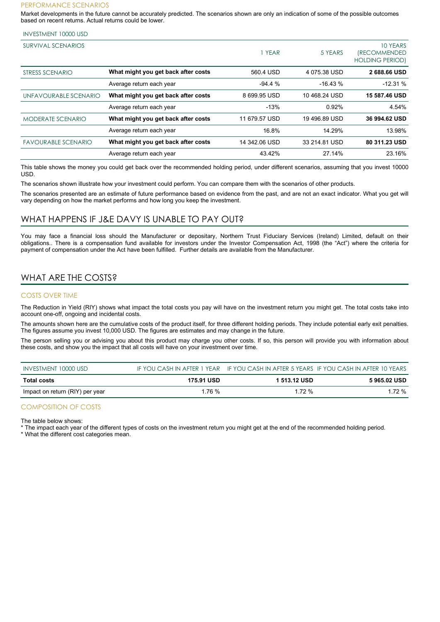#### PERFORMANCE SCENARIOS

Market developments in the future cannot be accurately predicted. The scenarios shown are only an indication of some of the possible outcomes based on recent returns. Actual returns could be lower.

| <b>INVESTMENT 10000 USD</b> |  |
|-----------------------------|--|
|-----------------------------|--|

| <b>SURVIVAL SCENARIOS</b>  |                                     | YEAR          | 5 YEARS       | 10 YEARS<br><i><b>(RECOMMENDED)</b></i><br><b>HOLDING PERIOD)</b> |
|----------------------------|-------------------------------------|---------------|---------------|-------------------------------------------------------------------|
| STRESS SCENARIO            | What might you get back after costs | 560.4 USD     | 4 075.38 USD  | 2 688.66 USD                                                      |
|                            | Average return each year            | $-94.4%$      | $-16.43%$     | $-12.31%$                                                         |
| UNFAVOURABLE SCENARIO      | What might you get back after costs | 8 699.95 USD  | 10468.24 USD  | 15 587.46 USD                                                     |
|                            | Average return each year            | $-13%$        | 0.92%         | 4.54%                                                             |
| <b>MODERATE SCENARIO</b>   | What might you get back after costs | 11 679.57 USD | 19496.89 USD  | 36 994.62 USD                                                     |
|                            | Average return each year            | 16.8%         | 14.29%        | 13.98%                                                            |
| <b>FAVOURABLE SCENARIO</b> | What might you get back after costs | 14 342.06 USD | 33 214 81 USD | 80 311.23 USD                                                     |
|                            | Average return each year            | 43.42%        | 27.14%        | 23.16%                                                            |

This table shows the money you could get back over the recommended holding period, under different scenarios, assuming that you invest 10000 USD.

The scenarios shown illustrate how your investment could perform. You can compare them with the scenarios of other products.

The scenarios presented are an estimate of future performance based on evidence from the past, and are not an exact indicator. What you get will vary depending on how the market performs and how long you keep the investment.

### WHAT HAPPENS IF J&E DAVY IS UNABLE TO PAY OUT?

You may face a financial loss should the Manufacturer or depositary, Northern Trust Fiduciary Services (Ireland) Limited, default on their obligations.. There is a compensation fund available for investors under the Investor Compensation Act, 1998 (the "Act") where the criteria for payment of compensation under the Act have been fulfilled. Further details are available from the Manufacturer.

## WHAT ARE THE COSTS?

#### COSTS OVER TIME

The Reduction in Yield (RIY) shows what impact the total costs you pay will have on the investment return you might get. The total costs take into account one-off, ongoing and incidental costs.

The amounts shown here are the cumulative costs of the product itself, for three different holding periods. They include potential early exit penalties. The figures assume you invest 10,000 USD. The figures are estimates and may change in the future.

The person selling you or advising you about this product may charge you other costs. If so, this person will provide you with information about these costs, and show you the impact that all costs will have on your investment over time.

| INVESTMENT 10000 USD            |            |              | IF YOU CASH IN AFTER 1 YEAR IF YOU CASH IN AFTER 5 YEARS IF YOU CASH IN AFTER 10 YEARS |
|---------------------------------|------------|--------------|----------------------------------------------------------------------------------------|
| Total costs                     | 175.91 USD | 1 513.12 USD | 5 965.02 USD                                                                           |
| Impact on return (RIY) per year | 1.76 %     | 1.72 %       | 1.72 %                                                                                 |

#### COMPOSITION OF COSTS

The table below shows:

The impact each year of the different types of costs on the investment return you might get at the end of the recommended holding period.

\* What the different cost categories mean.